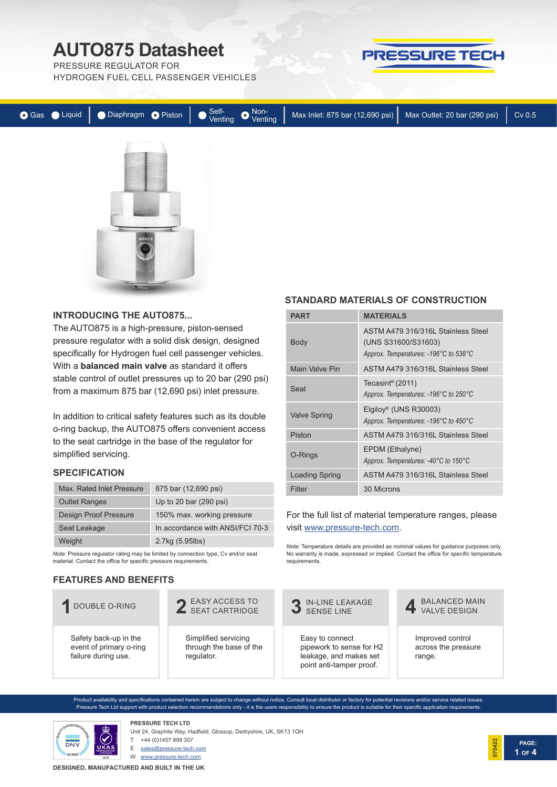PRESSURE REGULATOR FOR

HYDROGEN FUEL CELL PASSENGER VEHICLES





#### **INTRODUCING THE AUTO875...**

The AUTO875 is a high-pressure, piston-sensed pressure regulator with a solid disk design, designed specifically for Hydrogen fuel cell passenger vehicles. With a **balanced main valve** as standard it offers stable control of outlet pressures up to 20 bar (290 psi) from a maximum 875 bar (12,690 psi) inlet pressure.

In addition to critical safety features such as its double o-ring backup, the AUTO875 offers convenient access to the seat cartridge in the base of the regulator for simplified servicing.

### **SPECIFICATION**

| Max. Rated Inlet Pressure    | 875 bar (12,690 psi)             |
|------------------------------|----------------------------------|
| <b>Outlet Ranges</b>         | Up to 20 bar (290 psi)           |
| <b>Design Proof Pressure</b> | 150% max. working pressure       |
| Seat Leakage                 | In accordance with ANSI/FCI 70-3 |
| Weight                       | 2.7kg (5.95lbs)                  |

*Note:* Pressure regulator rating may be limited by connection type, Cv and/or seat material. Contact the office for specific pressure requirements.

### **FEATURES AND BENEFITS**

Safety back-up in the event of primary o-ring failure during use.

### **STANDARD MATERIALS OF CONSTRUCTION**

PRESSURE TECH

| <b>PART</b>           | <b>MATERIALS</b>                                                                                   |
|-----------------------|----------------------------------------------------------------------------------------------------|
| <b>Body</b>           | ASTM A479 316/316L Stainless Steel<br>(UNS S31600/S31603)<br>Approx. Temperatures: -196°C to 538°C |
| Main Valve Pin        | ASTM A479 316/316L Stainless Steel                                                                 |
| Seat                  | Tecasint <sup>®</sup> (2011)<br>Approx. Temperatures: -196°C to 250°C                              |
| <b>Valve Spring</b>   | Elgiloy <sup>®</sup> (UNS R30003)<br>Approx. Temperatures: -196°C to 450°C                         |
| Piston                | ASTM A479 316/316L Stainless Steel                                                                 |
| O-Rings               | EPDM (Ethalyne)<br>Approx. Temperatures: -40°C to 150°C                                            |
| <b>Loading Spring</b> | ASTM A479 316/316L Stainless Steel                                                                 |
| Filter                | 30 Microns                                                                                         |

### For the full list of material temperature ranges, please visit www.pressure-tech.com.

*Note:* Temperature details are provided as nominal values for guidance purposes only. No warranty is made, expressed or implied. Contact the office for specific temperature requirements.



Product availability and specifications contained herein are subject to change without notice. Consult local distributor or factory for potential revisions and/or service related issues. Pressure Tech Ltd support with product selection recommendations only - it is the users responsibility to ensure the product is suitable for their specific application requirements.



**PRESSURE TECH LTD** Unit 24, Graphite Way, Hadfield, Glossop, Derbyshire, UK, SK13 1QH

+44 (0)1457 899 307

E sales@pressure-tech.com

W www.pressure-tech.com

**DESIGNED, MANUFACTURED AND BUILT IN THE UK**

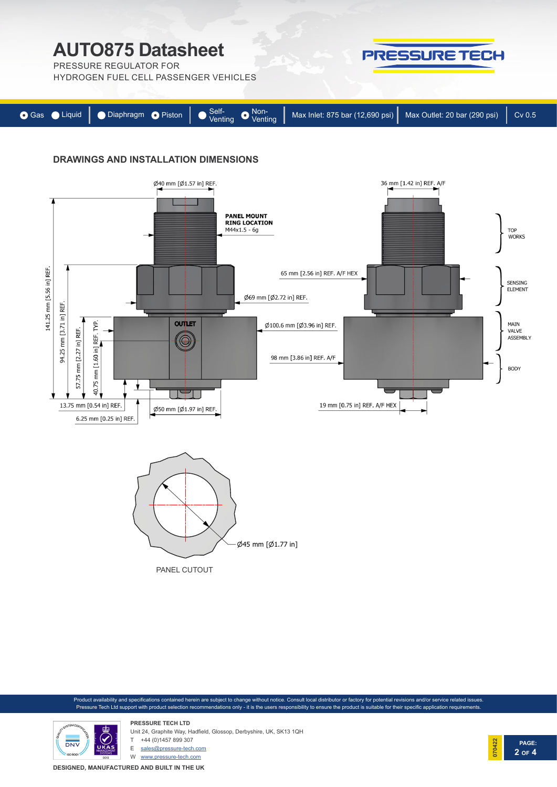PRESSURE REGULATOR FOR

HYDROGEN FUEL CELL PASSENGER VEHICLES



PRESSURE TECH

## **DRAWINGS AND INSTALLATION DIMENSIONS**





Product availability and specifications contained herein are subject to change without notice. Consult local distributor or factory for potential revisions and/or service related issues. Pressure Tech Ltd support with product selection recommendations only - it is the users responsibility to ensure the product is suitable for their specific application requirements.



**PRESSURE TECH LTD** Unit 24, Graphite Way, Hadfield, Glossop, Derbyshire, UK, SK13 1QH T +44 (0)1457 899 307

E sales@pressure-tech.com

W www.pressure-tech.com

**DESIGNED, MANUFACTURED AND BUILT IN THE UK**

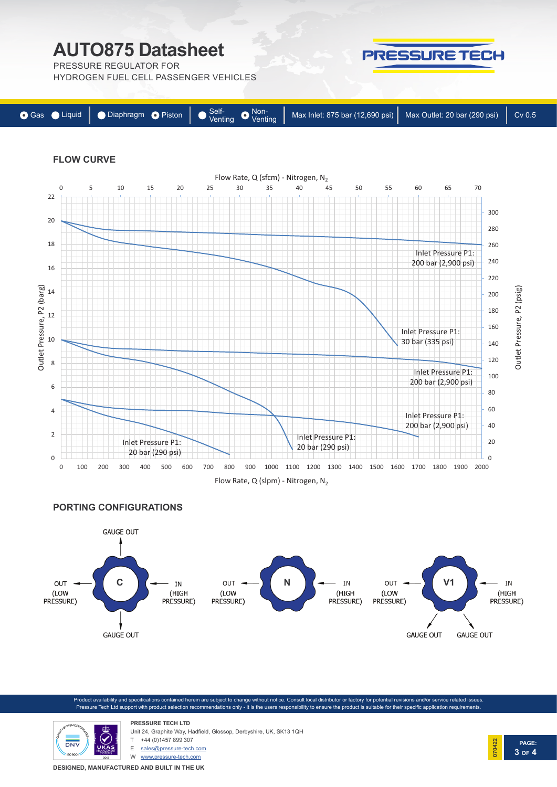PRESSURE REGULATOR FOR

HYDROGEN FUEL CELL PASSENGER VEHICLES

| ● Gas ● Liquid   ● Diaphragm ● Piston   ● Self-<br>Venting ● Venting   Max Inlet: 875 bar (12,690 psi)   Max Outlet: 20 bar (290 psi)   Cv 0.5 |  |  |  |
|------------------------------------------------------------------------------------------------------------------------------------------------|--|--|--|
|------------------------------------------------------------------------------------------------------------------------------------------------|--|--|--|

PRESSURE TECH

## **FLOW CURVE**



**PORTING CONFIGURATIONS**



oduct availability and specifications contained herein are subject to change without notice. Consult local distributor or factory for potential revisions and/or service related issues Pressure Tech Ltd support with product selection recommendations only - it is the users responsibility to ensure the product is suitable for their specific application requirements



Unit 24, Graphite Way, Hadfield, Glossop, Derbyshire, UK, SK13 1QH +44 (0)1457 899 307

E sales@pressure-tech.com

**PRESSURE TECH LTD**

W www.pressure-tech.com

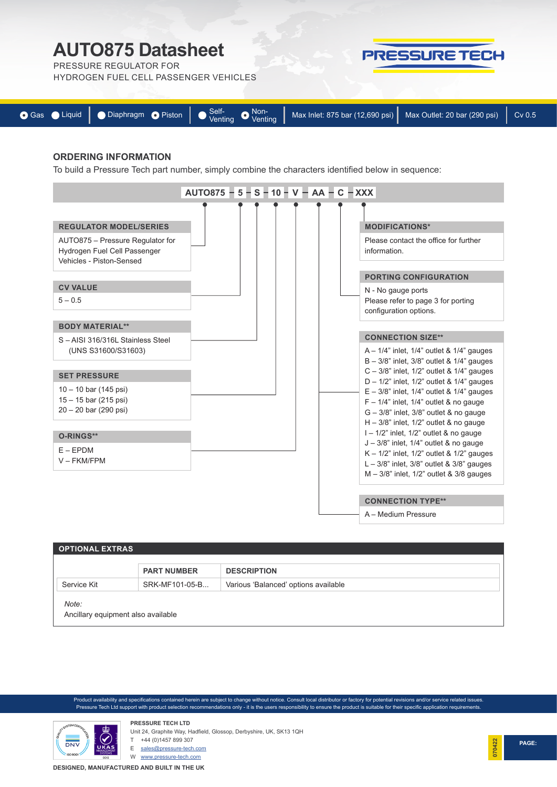## **AUTO875 Datasheet AUTO73 DataSHEET**<br>PRESSURE REGULATOR FOR



|  | ● Gas ● Liquid   ● Diaphragm ● Piston   ● Self-<br>Venting ● Max Inlet: 875 bar (12,690 psi)   Max Outlet: 20 bar (290 psi)   Cv 0.5 |  |
|--|--------------------------------------------------------------------------------------------------------------------------------------|--|
|  |                                                                                                                                      |  |

PRESSURE TECH

#### **ORDERING INFORMATION**

To build a Pressure Tech part number, simply combine the characters identified below in sequence:



| <b>OPTIONAL EXTRAS</b>                      |                    |                                      |  |  |  |
|---------------------------------------------|--------------------|--------------------------------------|--|--|--|
|                                             | <b>PART NUMBER</b> | <b>DESCRIPTION</b>                   |  |  |  |
| Service Kit                                 | SRK-MF101-05-B     | Various 'Balanced' options available |  |  |  |
| Note:<br>Ancillary equipment also available |                    |                                      |  |  |  |

Product availability and specifications contained herein are subject to change without notice. Consult local distributor or factory for potential revisions and/or service related issues. Pressure Tech Ltd support with product selection recommendations only - it is the users responsibility to ensure the product is suitable for their specific application requirements. Pressure Tech Ltd support with product selection recommendations only - it is the users responsibility to ensure the product is suitable for their specific application requirements.

 $\mathcal{L}^{\text{max}}(\mathcal{L}^{\text{max}})$  be available - please contact the office contact the office contact the office of



**PRESSURE TECH LTD** Unit 24, Graphite Way, Hadfield, Glossop, Derbyshire, UK, SK13 1QH

E sales@pressure-tech.com

Tecasint® is a registered trademark of Ensinger GmbH

W www.pressure-tech.com

**DESIGNED, MANUFACTURED AND BUILT IN THE UK** 

**4 OF 4**

**070422**

**030921**